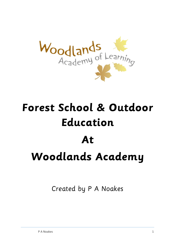

# **Forest School & Outdoor Education**

# **At Woodlands Academy**

Created by P A Noakes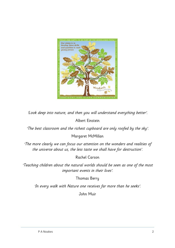

'Look deep into nature, and then you will understand everything better'.

### Albert Einstein

'The best classroom and the richest cupboard are only roofed by the sky'.

### Margaret McMillan

'The more clearly we can focus our attention on the wonders and realities of the universe about us, the less taste we shall have for destruction'.

### Rachel Carson

'Teaching children about the natural worlds should be seen as one of the most important events in their lives'.

### Thomas Berry

'In every walk with Nature one receives far more than he seeks'.

John Muir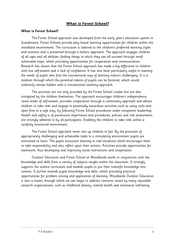### **What is Forest School?**

#### **What is Forest School?**

The Forest School approach was developed from the early year's education system in Scandinavia. Forest Schools provide play based learning opportunities for children within the woodland environment. The curriculum is tailored to the children's preferred learning styles and interests and is presented through a holistic approach. The approach engages children of all ages and all abilities, finding things in which they can all succeed through small achievable steps, whilst providing opportunities for cooperation and communication. Research has shown that the Forest School approach has made a big difference to children with low self-esteem and a lack of confidence. It has also been particularly useful in meeting the needs of pupils who find the conventional way of learning indoors challenging. It is a medium through which the potential talents of pupils can be fostered, which would ordinarily remain hidden with a conventional teaching approach.

The activities are not only provided by the Forest School Leader but are also instigated by the children themselves. The approach encourages children's independence, raises levels of self-esteem, provides cooperation through a community approach and allows children to take risks and engage in potentially hazardous activities such as using tools and open fires in a safe way, by following Forest School procedures under competent leadership. Health and safety is of paramount importance and procedures, policies and risk assessments are strongly adhered to by all participants. Enabling the children to take risks within a carefully monitored environment.

The Forest School approach never sets up children to fail. By the provision of appropriately challenging and achievable tasks in a stimulating environment pupils are motivated to learn. The pupils encounter learning in real situations which encourages them to take responsibility and also reflect upon their actions. Activities provide opportunities for teamwork, thus developing and improving social interactions and cooperation.

Outdoor Education and Forest School at Woodlands works in conjunction with the knowledge and skills from a variety of subjects taught within the classroom. It strongly supports the science curriculum and enables pupils to put their scientific knowledge into context. It further extends pupils knowledge and skills, whilst providing practical opportunities for problem solving and application of learning. Woodlands Outdoor Education is also a means through which we can begin to address concerns raised by many reputable research organisations, such as childhood obesity, mental health and emotional well-being.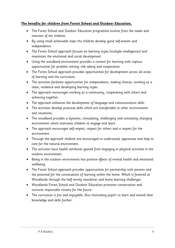### **The benefits for children from Forest School and Outdoor Education.**

- The Forest School and Outdoor Education programme evolves from the needs and interests of the children.
- By using small achievable steps the children develop good self-esteem and independence.
- The Forest School approach focuses on learning styles (multiple intelligences) and maximises the emotional and social development.
- Using the woodland environment provides a context for learning with copious opportunities for problem solving, risk taking and cooperation.
- The Forest School approach provides opportunities for development across all areas of learning and the curriculum.
- The activities facilitate opportunities for independence, making choices, working as a team, resilience and developing learning styles.
- The approach encourages working as a community, cooperating with others and achieving together.
- The approach enhances the development of language and communication skills.
- The activities develop practical skills which are transferable to other environments and situations.
- The woodland provides a dynamic, stimulating, challenging and constantly changing environment which motivates children to engage and learn.
- The approach encourages self-respect, respect for others and a respect for the environment.
- Through the approach children are encouraged to understand, appreciate and help to care for the natural environment.
- The activities have health attributes gained from engaging in physical activities in the outdoor environment.
- Being in the outdoor environment has positive effects of mental health and emotional wellbeing.
- The Forest School approach provides opportunities for partnership with parents and the potential for the continuation of learning within the home. Which is fostered at Woodlands through the half termly newsletter and home learning challenges.
- Woodlands Forest School and Outdoor Education promotes conservation and nurtures responsible citizens for the future.
- The curriculum is fun and enjoyable, thus motivating pupil's to learn and extend their knowledge and skills further.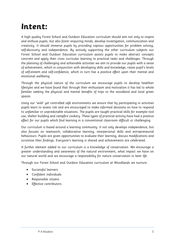### **Intent:**

A high quality Forest School and Outdoor Education curriculum should aim not only to inspire and enthuse pupils, but also foster enquiring minds, develop investigation, communication and creativity. It should immerse pupils by providing copious opportunities for problem solving, self-discovery and independence. By actively supporting the other curriculum subjects our Forest School and Outdoor Education curriculum assists pupils to make abstract concepts concrete and apply their cross curricular learning to practical tasks and challenges. Through the planning of challenging and achievable activities we aim to provide our pupils with a sense of achievement, which in conjunction with developing skills and knowledge, raises pupil's levels of self-esteem and self-confidence, which in turn has a positive effect upon their mental and emotional wellbeing.

Through the physical nature of the curriculum we encourage pupils to develop healthier lifestyles and we have found that through their enthusiasm and motivation it has led to whole families seeking the physical and mental benefits of trips to the woodland and local green spaces.

Using our 'wild' yet controlled safe environments we ensure that by participating in activities pupils learn to assess risk and are encouraged to make informed decisions on how to respond to unfamiliar or unpredictable situations. The pupils are taught practical skills for example tool use, shelter building and campfire cookery. These types of practical activity have had a positive effect for our pupils which find learning in a conventional classroom difficult or challenging.

Our curriculum is based around a learning community. It not only develops independence, but also focuses on teamwork, collaborative learning, interpersonal skills and entrepreneurial behaviours. Pupils are given opportunities to evaluate their learning, discuss modifications and scrutinise their findings. Everyone's learning is shared and achievements are celebrated.

A further element added to our curriculum is a knowledge of conservation. We encourage a greater understanding and awareness of the natural environment, what impact we have on our natural world and we encourage a responsibility for nature conservation in later life.

Through our Forest School and Outdoor Education curriculum at Woodlands we nurture:

- Successful learners
- Confident individuals
- Responsible citizens
- **•** Effective contributors.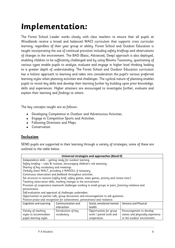## **Implementation:**

The Forest School Leader works closely with class teachers to ensure that all pupils at Woodlands receive a broad and balanced WACI curriculum that supports cross curricular learning, regardless of their year group or ability. Forest School and Outdoor Education is taught incorporating the use of continual provision including safety briefings and observations of changes in the environment. The BAD (Basic, Advanced, Deep) approach is also deployed, enabling children to be sufficiently challenged and by using Blooms Taxonomy, questioning of various types enable pupils to analyse, evaluate and engage in higher level thinking leading to a greater depth of understanding. The Forest School and Outdoor Education curriculum has a holistic approach to learning and takes into consideration the pupil's various preferred learning styles when planning activities and challenges. The cyclical nature of planning enables pupils to revisit key skills and develop their learning further by building upon prior knowledge, skills and experiences. Higher attainers are encouraged to investigate further, evaluate and explain their learning and findings to others.

The key concepts taught are as follows:

- Developing Competence in Outdoor and Adventurous Activities.
- Engage in Competitive Sports and Activities.
- Following Directions and Maps.
- **•** Conservation

### **Inclusion**

SEND pupils are supported in their learning through a variety of strategies, some of these are outlined in the table below.

| Universal strategies and approaches (Band 0)                                                       |                                                                                                         |  |  |  |  |  |  |
|----------------------------------------------------------------------------------------------------|---------------------------------------------------------------------------------------------------------|--|--|--|--|--|--|
|                                                                                                    | Independence skills - getting ready for outdoor learning.                                               |  |  |  |  |  |  |
|                                                                                                    | Safety briefing - rules & routines, encouraging children's risk assessing.                              |  |  |  |  |  |  |
| Sharing of key vocabulary and meanings.                                                            |                                                                                                         |  |  |  |  |  |  |
|                                                                                                    | Verbally share WALT, providing a WAGOLL if necessary.                                                   |  |  |  |  |  |  |
|                                                                                                    | Continuous observation and feedback throughout activities.                                              |  |  |  |  |  |  |
|                                                                                                    | Set structure to sessions (safety brief, safety games, team games, activity and review time.)           |  |  |  |  |  |  |
|                                                                                                    | Teaching observation skills, marking changes in the environment.                                        |  |  |  |  |  |  |
|                                                                                                    | Provision of cooperative teamwork challenges working in small groups or pairs, fostering resilience and |  |  |  |  |  |  |
| perseverance.                                                                                      |                                                                                                         |  |  |  |  |  |  |
|                                                                                                    | Self-evaluation and appraisal of challenges undertaken.                                                 |  |  |  |  |  |  |
| Opportunities to partner talk, group discussions and encouragement to ask questions.               |                                                                                                         |  |  |  |  |  |  |
| Positive praise and recognition for achievement, perseverance and resilience.                      |                                                                                                         |  |  |  |  |  |  |
| Cognition and Learning                                                                             | Communication and<br>Social, emotional mental<br>Sensory and Physical                                   |  |  |  |  |  |  |
|                                                                                                    | interaction<br>health                                                                                   |  |  |  |  |  |  |
| Introduction of key<br>Encouragement to develop<br>Variety of teaching<br>Opportunities for group  |                                                                                                         |  |  |  |  |  |  |
| work / paired work and<br>styles to accommodate<br>vocabulary.<br>senses and physically experience |                                                                                                         |  |  |  |  |  |  |
| pupils learning styles.                                                                            | in the outdoor environment.<br>cooperation.                                                             |  |  |  |  |  |  |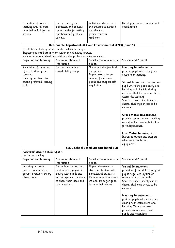| Repetition of previous<br>Partner talk, group<br>learning and reiterate<br>discussion and copious<br>intended WALT for the<br>opportunities for asking<br>questions and problem<br>session.<br>solving. |                                                                                                                                                    | Activities, which assist<br>the children to achieve<br>and develop<br>perseverance &<br>resilience.                                                     | Develop increased stamina and<br>coordination                                                                                                                                                                                                                                                                                                                                                                                                                                                                            |
|---------------------------------------------------------------------------------------------------------------------------------------------------------------------------------------------------------|----------------------------------------------------------------------------------------------------------------------------------------------------|---------------------------------------------------------------------------------------------------------------------------------------------------------|--------------------------------------------------------------------------------------------------------------------------------------------------------------------------------------------------------------------------------------------------------------------------------------------------------------------------------------------------------------------------------------------------------------------------------------------------------------------------------------------------------------------------|
|                                                                                                                                                                                                         |                                                                                                                                                    | Reasonable Adjustments (LA and Environmental SEND) (Band 1)                                                                                             |                                                                                                                                                                                                                                                                                                                                                                                                                                                                                                                          |
|                                                                                                                                                                                                         | Break down challenges into smaller achievable steps.                                                                                               |                                                                                                                                                         |                                                                                                                                                                                                                                                                                                                                                                                                                                                                                                                          |
|                                                                                                                                                                                                         | Engaging in small group work within mixed ability groups.                                                                                          |                                                                                                                                                         |                                                                                                                                                                                                                                                                                                                                                                                                                                                                                                                          |
| <b>Cognition and Learning</b>                                                                                                                                                                           | Regular emotional check ins, with positive praise and encouragement.<br>Communication and                                                          | Social, emotional mental                                                                                                                                | Sensory and Physical                                                                                                                                                                                                                                                                                                                                                                                                                                                                                                     |
|                                                                                                                                                                                                         | health<br>interaction                                                                                                                              |                                                                                                                                                         |                                                                                                                                                                                                                                                                                                                                                                                                                                                                                                                          |
| Repetition of the order<br>of events during the<br>sessions.<br>Identify and teach to<br>pupil's preferred learning<br>style.                                                                           | Partner talk within a<br>mixed ability group.                                                                                                      | Giving positive feedback<br>and praise.<br>Deploy strategies for<br>calming for anxious<br>pupils and support self-<br>regulation.                      | Hearing Impairment -<br>position pupil where they can<br>easily hear learning.<br>Visual Impairment - position<br>pupil where they can easily see<br>learning and check in during<br>activities that the pupil is able to<br>access the learning.<br>Spotter's sheets, identification<br>charts, challenge sheets to be<br>enlarged.<br>Gross Motor Impairment -<br>provide support when travelling<br>on unfamiliar terrain, but allow<br>for independence.<br>Fine Motor Impairment -<br>Increased tuition and support |
|                                                                                                                                                                                                         |                                                                                                                                                    |                                                                                                                                                         | when using tools and<br>equipment.                                                                                                                                                                                                                                                                                                                                                                                                                                                                                       |
|                                                                                                                                                                                                         |                                                                                                                                                    | <b>SEND School Based Support (Band 2-3)</b>                                                                                                             |                                                                                                                                                                                                                                                                                                                                                                                                                                                                                                                          |
| Additional sensitive adult support                                                                                                                                                                      |                                                                                                                                                    |                                                                                                                                                         |                                                                                                                                                                                                                                                                                                                                                                                                                                                                                                                          |
| Further modelling.                                                                                                                                                                                      |                                                                                                                                                    |                                                                                                                                                         |                                                                                                                                                                                                                                                                                                                                                                                                                                                                                                                          |
| <b>Cognition and Learning</b>                                                                                                                                                                           | Communication and<br>interaction                                                                                                                   | Social, emotional mental<br>health                                                                                                                      | Sensory and Physical                                                                                                                                                                                                                                                                                                                                                                                                                                                                                                     |
| Working in a small<br>quieter area within a<br>group to reduce sensory<br>distractions.                                                                                                                 | Throughout the session<br>continuous engaging in<br>dialog with pupils and<br>encouragement for them<br>to share their ideas and<br>ask questions. | Deploy de-escalation<br>strategies to deal with<br>behavioural outbursts.<br>Regular emotional check<br>ins and praise for good<br>learning behaviours. | Visual Impairment -<br>provision of an adult to support<br>pupils negotiate unfamiliar<br>terrain acting as a guide.<br>Spotter's sheets, identification<br>charts, challenge sheets to be<br>enlarged.<br>Hearing Impairment -<br>position pupils where they can<br>clearly hear instructions and<br>learning. Where necessary<br>provide visual clues. Check<br>pupils understanding.                                                                                                                                  |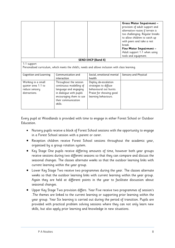|                                                                              |                                                                                                                                                                    |                                                                                                                             | Gross Motor Impairment -<br>provision of adult support and<br>alternative routes if terrain is<br>too challenging. Regular breaks<br>to allow children to catch up<br>with peers and take a rest<br>break.<br>Fine Motor Impairment -<br>Adult support 1:1 when using<br>tools and equipment. |
|------------------------------------------------------------------------------|--------------------------------------------------------------------------------------------------------------------------------------------------------------------|-----------------------------------------------------------------------------------------------------------------------------|-----------------------------------------------------------------------------------------------------------------------------------------------------------------------------------------------------------------------------------------------------------------------------------------------|
|                                                                              |                                                                                                                                                                    | <b>SEND EHCP (Band 4)</b>                                                                                                   |                                                                                                                                                                                                                                                                                               |
| 1:1 support                                                                  | Personalised curriculum, which meets the child's, needs and allows inclusion with class learning.                                                                  |                                                                                                                             |                                                                                                                                                                                                                                                                                               |
| <b>Cognition and Learning</b>                                                | Communication and<br>interaction                                                                                                                                   | Social, emotional mental<br>health                                                                                          | Sensory and Physical                                                                                                                                                                                                                                                                          |
| Working in a small<br>quieter area 1:1 to<br>reduce sensory<br>distractions. | Throughout the session<br>continuous modelling of<br>language and engaging<br>in dialogue with pupils<br>encouraging them to use<br>their communication<br>skills. | Deploy de-escalation<br>strategies to diffuse<br>behavioural out bursts.<br>Praise for showing good<br>learning behaviours. |                                                                                                                                                                                                                                                                                               |

Every pupil at Woodlands is provided with time to engage in either Forest School or Outdoor Education.

- Nursery pupils receive a block of Forest School sessions with the opportunity to engage in a Forest School session with a parent or carer.
- Reception children receive Forest School sessions throughout the academic year, organised by a group rotation system.
- Key Stage One pupils receive differing amounts of time, however both year groups receive sessions during two different seasons so that they can compare and discuss the seasonal changes. The classes alternate weeks so that the outdoor learning links with current learning within the year group.
- Lower Key Stage Two receive two programmes during the year. The classes alternate weeks so that the outdoor learning links with current learning within the year group. Again they are held at different points in the year to facilitate discussion about seasonal changes.
- Upper Key Stage Two provision differs. Year Five receive two programmes of session's .The themes are linked to the current learning or supporting prior learning within the year group. Year Six learning is carried out during the period of transition. Pupils are provided with practical problem solving sessions where they can not only learn new skills, but also apply prior learning and knowledge in new situations.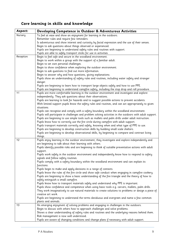### **Core learning in skills and knowledge**

| Aspect:   | Developing Competence in Outdoor & Adventurous Activities                                                         |
|-----------|-------------------------------------------------------------------------------------------------------------------|
| Nursery   | To feel at ease and show an enjoyment for learning in the outdoors.                                               |
|           | Remember rules and require few reminders.                                                                         |
|           | Is adventurous and show interest and curiosity by facial expression and the use of their senses.                  |
|           | Begin to ask questions about things observed or experienced.                                                      |
|           | Pupils are beginning to understand safety rules and routines with support.                                        |
|           | Pupils are able to safely transport sticks for use in activities.                                                 |
| Reception | Begin to feel safe and secure in the woodland environment.                                                        |
|           | Begin to work within a group with the support of a familiar adult.                                                |
|           | Begin to set own personal challenges.                                                                             |
|           | Begin to show confidence when exploring the outdoor environment.                                                  |
|           | Begin to ask questions to find out more information.                                                              |
|           | Begin to answer why and how questions, giving explanations.                                                       |
|           | Pupils show an understanding of safety rules and routines, including water safety and stranger                    |
|           | danger.                                                                                                           |
|           | Pupils are beginning to learn how to transport large objects safely and how to use PPE.                           |
|           | Pupils are beginning to understand campfire safety, including the stop drop and roll procedure.                   |
| Y1        | Pupils are more comfortable learning in the outdoor environment and investigate and explore                       |
|           | independently. They ask questions about their observations.                                                       |
|           | Pupils are learning to look for hazards and to suggest possible actions to prevent accidents.                     |
|           | With limited support pupils know the safety rules and routines, and can act appropriately to given<br>situations. |
|           | Pupils can recognise and comply with a safety boundary within the woodland environment.                           |
|           | Pupils will participate in challenges and problem solving activities in the outdoors with adult support.          |
|           | Pupils are beginning to use simple tools such as mallets and palm drills under adult instruction.                 |
|           | Pupils know how to correctly use the fire circle during campfire with adult support.                              |
|           | Pupils transport materials correctly and safely, knowing when and what type of PPE to use.                        |
|           | Pupils are beginning to develop construction skills by building small scale shelters.                             |
|           | Pupils are beginning to develop observational skills, by beginning to compare and contrast living                 |
|           | things.                                                                                                           |
| Y2        | Pupils enjoy learning in the outdoor environment, they investigate and explore independently and                  |
|           | are beginning to talk about their learning with others.                                                           |
|           | Pupils identify possible risks and are beginning to think of suitable preventative actions with adult             |
|           | support.                                                                                                          |
|           | Pupils work safely in the outdoor environment and independently know how to respond to safety                     |
|           | signals and follow safety routines.                                                                               |
|           | Pupils comply with a safety boundary within the woodland environment and can explain its                          |
|           | functions.                                                                                                        |
|           | Pupils begin to make and apply decisions in a range of contexts.                                                  |
|           | Pupils know the rules of the fire circle and show safe conduct when engaging in campfire cookery.                 |
|           | Pupils are beginning to show a basic understanding of the fire triangle and the theory of how to                  |
|           | safely extinguish a small campfire.                                                                               |
|           | Pupils know how to transport materials safely and understand why PPE is important.                                |
|           | Pupils show confidence and competence when using basic tools e.g. carvers, mallets, palm drills.                  |
|           | They work imaginatively to use natural materials to create solutions to problems or design a piece of             |
|           | creative art work.                                                                                                |
|           | Pupils are beginning to understand the terms deciduous and evergreen and name a few common                        |
|           | plants and animals.                                                                                               |
| Y3        | An emerging enjoyment of solving problems and engaging in challenges in the outdoors.                             |
|           | Begin to discuss with others how to approach challenges and solve problems.                                       |
|           | Shows a clear understanding of safety rules and routines and the underlying reasons behind them.                  |
|           | Risk management is now well understood.                                                                           |
|           | Pupils are aware of changing conditions and change plans if necessary with adult support.                         |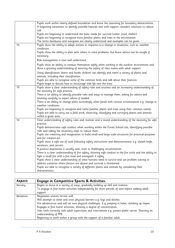|    | Pupils work within clearly defined boundaries and know the reasoning for boundary demarcations.                                                                                           |
|----|-------------------------------------------------------------------------------------------------------------------------------------------------------------------------------------------|
|    | A beginning awareness to identify possible hazards and with support considers solutions to reduce                                                                                         |
|    | risk.                                                                                                                                                                                     |
|    | Pupils are beginning to understand the basic needs for survival (water, food, shelter).                                                                                                   |
|    | Pupils are beginning to recognise more familiar plants and trees in the environment.                                                                                                      |
|    | The terms deciduous and evergreen are clearly understood and examples can be given.                                                                                                       |
| Υ4 | Pupils show the ability to adapt actions in response to a change in situations, such as weather<br>conditions.                                                                            |
|    | Pupils show the ability to plan with others to solve problems, but know advice can be sought if<br>necessary.                                                                             |
|    | Risk management is now well understood.                                                                                                                                                   |
|    | Pupils show an ability to conduct themselves safely when working in the outdoor environment and<br>show a growing understanding of ensuring the safety of class mates with adult support. |
|    | Using identification charts and books children can identify and name a variety of plants and<br>animals, including their classification.                                                  |
|    | Pupils are able to recognise some of the common birds and talk about their features.<br>Pupils begin to discuss how to encourage wild life into the area.                                 |
| Y5 | Pupils show a clear understanding of safety rules and routines and an increasing understanding of                                                                                         |
|    | the necessity for safe practice.                                                                                                                                                          |
|    | There is an ability to identify possible risks and ways to manage them, asking for advice and                                                                                             |
|    | listening carefully to expert advice if needed.                                                                                                                                           |
|    | There is an ability to change plans accordingly when faced with various circumstances e.g. change in<br>weather conditions.                                                               |
|    | Pupils are beginning to recognise and name familiar plants and trees using their common names.                                                                                            |
|    | Pupils are able to carry out a field work, observing, classifying and surveying plants and animals                                                                                        |
|    | within a given area.                                                                                                                                                                      |
| Y6 | Clear understanding of safety rules and routines and a sound understanding of the necessity for safe                                                                                      |
|    | practice.                                                                                                                                                                                 |
|    | Pupils demonstrates safe conduct when working within the Forest School site, identifying possible<br>risks and taking the necessary steps to reduce them.                                 |
|    | Pupils use creativity and imagination to build small and large scale structures for practical purposes                                                                                    |
|    | and for creative art.                                                                                                                                                                     |
|    | Pupils show a safe use of tools following safety instructions and demonstrations e.g. sheath knife,                                                                                       |
|    | secateurs, and carvers.                                                                                                                                                                   |
|    | A positive disposition is usually seen, even in challenging circumstances.                                                                                                                |
|    | There is a clear understanding of fire safety, showing safe conduct in the fire circle and the ability to                                                                                 |
|    | light a small fire with a fire steal and extinguish it safely.                                                                                                                            |
|    | Pupils show a clear understanding of what humans need to survive and use problem solving to                                                                                               |
|    | address scenarios where factors are absent and survival is threatened.                                                                                                                    |
|    | Pupils are able to recognise a variety of different plants and animals by considering their                                                                                               |
|    | characteristics.                                                                                                                                                                          |

| Aspect:   | Engage in Competitive Sports & Activities.                                                         |
|-----------|----------------------------------------------------------------------------------------------------|
| Nursery   | Begins to move in a variety of ways, gradually building up skill and stamina.                      |
|           | To engage in fine motor activities independently for short periods of time before seeking adult    |
|           | support.                                                                                           |
| Reception | Negotiates uneven terrain well.                                                                    |
|           | Will attempt to climb and cross physical barriers e.g. logs and ditches.                           |
|           | Are adventurous and will set own physical challenges. E.g. jumping in holes, climbing up slopes.   |
|           | Engages in fine motor activities, showing a degree of concentration.                               |
|           | Uses tools correctly with adult supervision and intervention e.g. potato peeler carver. Showing an |
|           | understanding of PPE.                                                                              |
|           | Beginning to work within a group with the support of a familiar adult.                             |

r.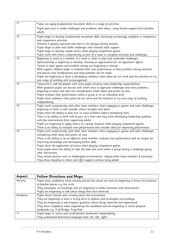| Y1 | Pupils can apply fundamental movement skills in a range of activities.                                                             |
|----|------------------------------------------------------------------------------------------------------------------------------------|
|    | Pupils plan how to tackle challenges and problems with others, using limited support from familiar<br>adults.                      |
| Y2 | Pupils begin to develop fundamental movement skills, becoming increasingly confident in competitive<br>and cooperative activities. |
|    | Stamina is greatly improved and there is less fatique during sessions.                                                             |
|    | Pupils begin to plan and tackle challenges with minimal adult support.                                                             |
|    | Pupils begin to develop simple tactics when playing competitive games.                                                             |
|    | Pupils work with others cooperatively as part of a team to complete activities and challenges.                                     |
| Y3 | Beginning to work as a member of a team in order to plan and undertake challenges.                                                 |
|    | Sportsmanship is beginning to develop, showing an appreciation for an opponent's efforts.                                          |
|    | Tactics in team games and problem solving are beginning to emerge.                                                                 |
|    | With support children begin to evaluate their own performance in team problem solving activities                                   |
|    | and discuss how modifications and improvements can be made.                                                                        |
|    | Pupils are beginning to show a developing resilience when plans do not work and the initiative to try                              |
| Y4 | new ways of working with encouragement.<br>Teamwork is well developed, with some pupils showing some leadership responsibilities.  |
|    | With guidance pupils can discuss with others how to approach challenges and solve problems,                                        |
|    | beginning to listen and take into consideration others ideas and points of view.                                                   |
|    | Pupils evaluate their performance within a group or at an individual level.                                                        |
|    | Pupils show resilience when plans do not work and the initiative to try new ways of working                                        |
|    | independently.                                                                                                                     |
| Y5 | Pupils work cooperatively with other team members when engaging in games and team challenges,                                      |
|    | beginning to listen to and consider others thoughts and ideas.                                                                     |
|    | Pupils show the ability to plan how to solve problems before attempting them.                                                      |
|    | There is an ability to work well as part of a team and may show developing leadership qualities,                                   |
|    | with few interventions from supporting adults.                                                                                     |
|    | Pupils are beginning to apply tactics in a group situation when playing competitive games.                                         |
|    | There is an ability to evaluate own performance and consider ideas for improving performance.                                      |
| Y6 | Pupils work cooperatively with other team members when engaging in games and team challenges,                                      |
|    | considering other ideas and points of view.                                                                                        |
|    | There is the ability to be an effective team member, evaluate own performance and set targets for                                  |
|    | improving knowledge and developing further skills.                                                                                 |
|    | Pupils show the application of tactics when playing competitive games.                                                             |
|    | Some pupils show the ability to take the lead and work within a group during a challenge giving                                    |
|    | clear instructions.                                                                                                                |
|    | They remain positive even in challenging circumstances, rallying other team members if necessary.                                  |
|    | They show empathy to others and offer support without being asked.                                                                 |

| Aspect:        | <b>Follow Directions and Maps.</b>                                                                |
|----------------|---------------------------------------------------------------------------------------------------|
| Nursery        | Pupils show confidence when moving around the school site and are beginning to know the locations |
|                | of familiar places e.g. fire circle.                                                              |
|                | They investigate surroundings and are beginning to make comments and observations.                |
|                | Pupils are beginning to talk about things that have observed.                                     |
| Reception      | Pupils shows interest and curiosity about the environment.                                        |
|                | They are beginning to have a strong drive to explore and investigate surroundings.                |
|                | They are beginning to ask frequent questions about things observed and experienced                |
|                | They show confidence when negotiating the woodland and are beginning to notice physical           |
|                | landmarks e.g. Troll Bridge, Frog Hole.                                                           |
| Y <sub>1</sub> | Pupils begin to notice and recall familiar landmarks independently.                               |
|                | They understand directional language (near, far, left, right).                                    |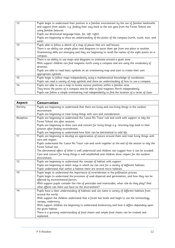| <b>Y2</b> | Pupils begin to understand their position in a familiar environment by the use of familiar landmarks<br>and support from adults. e.g. finding their way back to the exit gate from the Forest School site<br>using familiar features.<br>Pupils use directional language (near, far, left. right).<br>Pupils are beginning to show an understanding of the points of the compass (north, south, east, and<br>west). |
|-----------|---------------------------------------------------------------------------------------------------------------------------------------------------------------------------------------------------------------------------------------------------------------------------------------------------------------------------------------------------------------------------------------------------------------------|
| Y3        | Pupils able to follow a sketch of a map of places that are well known.<br>There is an ability use simple plans and diagrams to assist them get from one place to another.<br>Orienteering skills are emerging and they are beginning to recall the names of the eight points on a<br>compass.                                                                                                                       |
| Y4        | There is an ability to use maps and diagrams to orientate around a given area.<br>With support children can find magnetic north using a compass and are using the vocabulary of<br>direction.<br>Pupils are able to read basic symbols on an orienteering map and start to create their own<br>appropriate symbols.                                                                                                 |
| Y5        | Pupils begin to follow maps independently using a mathematical knowledge of coordinates.<br>Pupils can read a variety of map symbols and show an understanding of how to use a compass.                                                                                                                                                                                                                             |
| Y6        | Pupils are able to use a map to locate various positions within a familiar area.<br>They know the points of a compass and be able to find magnetic North independently.<br>Pupils can follow a simple orienteering trail independently to find the location of a series of clues.                                                                                                                                   |

| Aspect:   | Conservation                                                                                         |
|-----------|------------------------------------------------------------------------------------------------------|
| Nursery   | Pupils are beginning to understand that there are living and non-living things in the outdoor        |
|           | environment.                                                                                         |
|           | Pupils are beginning to treat living things with care and consideration.                             |
| Reception | Pupils are beginning to understand the 'Leave No Trace' rule and work with support to tidy the       |
|           | Forest School site after sessions.                                                                   |
|           | Pupils are beginning to show care and concern for living things e.g. returning logs back to their    |
|           | position after finding invertebrates.                                                                |
|           | Pupils are beginning to understand how litter can be detrimental to wild life.                       |
| Y1        | Pupils are beginning to develop an appreciation of nature around them and treat living things with   |
|           | care and respect.                                                                                    |
|           | Pupils understand the 'Leave No Trace' rule and work together at the end of the session to tidy the  |
|           | Forest School site.                                                                                  |
|           | The detrimental effect of littler is well understood and children can suggest how it can be avoided. |
|           | Care and concern for living things is well established and children show respect for the outdoor     |
|           | environment.                                                                                         |
| Y2        | Pupils are beginning to understand the concept of habitat with support.                              |
|           | Pupils are beginning to select ways in which we can care for a variety of different habitats.        |
|           | Pupils understand that within a habitat there are several micro habitats.                            |
| Y3        | Pupils begin to understand the importance of invertebrates in the pollination process.               |
|           | Pupils begin to understand the processes of seed dispersal and germination, and how they can be      |
|           | effected by environmental factors.                                                                   |
|           | With support pupils consider the role of pesticides and insecticides, what role do they play? And    |
|           | what effects can there use have on the environment?                                                  |
| Y4        | Pupils have a clear understanding of habitats and can name a variety of different habitats from      |
|           | around the world.                                                                                    |
|           | With support the children understand that a forest has levels and begin to use the terminology       |
|           | canopy, understory.                                                                                  |
|           | With support children are beginning to understand biodiversity and how it differs depending upon     |
|           | the given habitat.                                                                                   |
|           | There is a growing understanding of food chains and simple food chains can be created and            |
|           | explained.                                                                                           |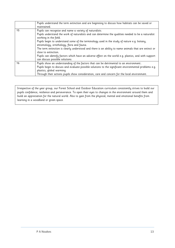|    | Pupils understand the term extinction and are beginning to discuss how habitats can be saved or                                                                                                                               |
|----|-------------------------------------------------------------------------------------------------------------------------------------------------------------------------------------------------------------------------------|
|    | maintained.                                                                                                                                                                                                                   |
| Y5 | Pupils can recognise and name a variety of naturalists.                                                                                                                                                                       |
|    | Pupils understand the work of naturalists and can determine the qualities needed to be a naturalist<br>working in the field.                                                                                                  |
|    | Pupils begin to understand some of the terminology used in the study of nature e.g. botany,<br>entomology, ornithology, flora and fauna.                                                                                      |
|    | The term extinction is clearly understood and there is an ability to name animals that are extinct or<br>close to extinction.                                                                                                 |
|    | Pupils can identify factors which have an adverse effect on the world e.g. plastics, and with support<br>can discuss possible solutions.                                                                                      |
| Y6 | Pupils show an understanding of the factors that can be detrimental to an environment.<br>Pupils begin to discuss and evaluate possible solutions to the significant environmental problems e.g.<br>plastics, global warming. |
|    | Through their actions pupils show consideration, care and concern for the local environment.                                                                                                                                  |

Irrespective of the year group, our Forest School and Outdoor Education curriculum consistently strives to build our pupils confidence, resilience and perseverance. To open their eyes to changes in the environment around them and build an appreciation for the natural world. Also to gain from the physical, mental and emotional benefits from learning in a woodland or green space.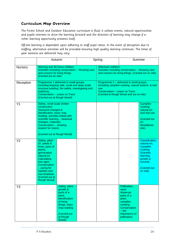### **Curriculum Map Overview**

The Forest School and Outdoor Education curriculum is fluid, it utilises events, natural opportunities and pupils interests to drive the learning forward and the direction of learning may change if a richer learning opportunity presents itself.

Off-site learning is dependent upon adhering to staff pupil ratios. In the event of disruption due to staffing, alternative activities will be provided ensuring high quality learning continues. The times of year sessions are delivered may vary.

|           | Autumn                                                                                                                                                                                                                                                                     |  | Spring                                                                                                                                                                              | Summer                                                                                                                                       |                                                                                                                                               |
|-----------|----------------------------------------------------------------------------------------------------------------------------------------------------------------------------------------------------------------------------------------------------------------------------|--|-------------------------------------------------------------------------------------------------------------------------------------------------------------------------------------|----------------------------------------------------------------------------------------------------------------------------------------------|-----------------------------------------------------------------------------------------------------------------------------------------------|
| Nursery   | Morning and 30 hours children.<br>Activities including conservation - Showing care<br>and concern for living things.<br>(Carried out on site)                                                                                                                              |  | Afternoon children.<br>Activities including conservation - Showing care<br>and concern for living things. (Carried out on site)                                                     |                                                                                                                                              |                                                                                                                                               |
| Reception | Programme 1 delivered in small groups.<br>Including keeping safe, small and large-scale<br>structure building, fire safety, investigating and<br>exploring.<br>Conservation - Leave no Trace<br>(Carried out at Rough Wood)                                                |  | Programme 2 - delivered in small groups.<br>Including campfire cooking, natural artwork, & tool<br>use.<br>Conservation - Leave no Trace<br>(Carried at Rough Wood and out on site) |                                                                                                                                              |                                                                                                                                               |
| Y1        | Safety, small scale shelter<br>construction<br>Seasonal changes &<br>identification, basic map<br>reading, activities linked with<br>scientific learning - seasonal<br>changes, materials.<br>Conservation - showing<br>respect for nature.<br>(Carried out at Rough Wood) |  |                                                                                                                                                                                     |                                                                                                                                              | Campfire<br>cooking,<br>natural art<br>and tool use<br>(Carried out<br><b>on</b><br>Woodlands<br>site)                                        |
| Y2        | Safety, plant<br>ID, seeds &<br>fruits, parts of<br>plants,<br>germination<br>natural art<br>Calculating<br>tree ages.<br>Conservation<br>$-$ caring for<br>habitats and<br>microhabitats.<br>(Carried out at<br>Rough Wood)                                               |  |                                                                                                                                                                                     |                                                                                                                                              | Classification,<br>natural art,<br>Campfire<br>cooking.<br><b>Scientific</b><br>learning<br>growth &<br>survival.<br>(Carried out<br>on site) |
| Y3        | Safety, plant<br>growth &<br>parts of a<br>plant,<br>identification<br>of living<br>things, basic<br>map reading<br>(Carried out<br>at Rough<br>Wood)                                                                                                                      |  |                                                                                                                                                                                     | Pollination,<br>seed<br>dispersal,<br>parts of a<br>plant.<br>campfire<br>cooking<br>Conservation<br>$-$ the<br>importance of<br>pollinators |                                                                                                                                               |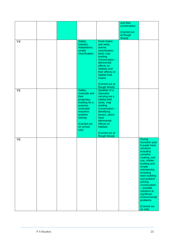|                |  |                                                                                                                                                                        | Food chains                                                                                                                                                                                                                      | and their<br>conservation.<br>(Carried out<br>at Rough<br>Wood) |                                                                                                                                                                                                                                                                                                                                                    |
|----------------|--|------------------------------------------------------------------------------------------------------------------------------------------------------------------------|----------------------------------------------------------------------------------------------------------------------------------------------------------------------------------------------------------------------------------|-----------------------------------------------------------------|----------------------------------------------------------------------------------------------------------------------------------------------------------------------------------------------------------------------------------------------------------------------------------------------------------------------------------------------------|
| Y4             |  | Safety,<br>habitats,<br>Adaptations,<br>simple<br>classification,                                                                                                      | and webs,<br>animal,<br>classification,<br>basic map<br>reading.<br>Conservation -<br>detrimental<br>effects on<br>habitats and<br>their effects on<br>habitat food<br>chains.<br>(Carried out at<br>Rough Wood)                 |                                                                 |                                                                                                                                                                                                                                                                                                                                                    |
| Y <sub>5</sub> |  | Safety,<br>materials and<br>their<br>properties,<br>building for a<br>purpose,<br>reversible<br>reactions<br>problem<br>solving.<br>(Carried out<br>on school<br>site) | Qualities of a<br>naturalist,<br>carrying out a<br>habitat field<br>study, map<br>reading.<br>Conservation-<br>identifying<br>factors, which<br>have<br>detrimental<br>effects on<br>habitats.<br>(Carried out at<br>Rough Wood) |                                                                 |                                                                                                                                                                                                                                                                                                                                                    |
| Y6             |  |                                                                                                                                                                        |                                                                                                                                                                                                                                  |                                                                 | <b>During</b><br>transition year<br>6 pupils have<br>sessions<br>including<br>campfire<br>cooking, tool<br>use, shelter<br>building and<br>simple<br>orienteering.<br>Including<br>team building<br>and problem<br>solving.<br>Conservation<br>- possible<br>solutions to<br>significant<br>environmental<br>problems.<br>(Carried out<br>on site) |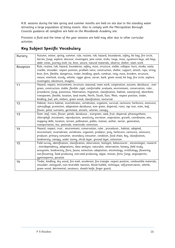N.B. sessions during the late spring and summer months are held on site due to the standing water attracting a large population of biting insects. Also to comply with the Metropolitan Borough Councils guidance all campfires are held on the Woodlands Academy site.

Provision is fluid and the times of the year sessions are held may alter due to other curricular activities.

### **Key Subject Specific Vocabulary**

| Nursery   | Autumn, winter, spring, summer, rule, routine, risk, hazard, boundaries, safety, kit bag, fire circle,      |
|-----------|-------------------------------------------------------------------------------------------------------------|
|           | berries, fungi, explore, discover, investigate, pine cones, sticks, twigs, moss, sycamore keys, ash keys,   |
|           | alder cones, journey stick, tie, knot, secure, natural materials, observe, shelter, team work.              |
| Reception | Rule, routine, risk, hazard, boundaries, safety, moss, structure, stable, collapse. burn, smoke, sizzle,    |
|           | crackle, smoulder, respect position, problem solve, construction, shelter, support, attach, rope, string,   |
|           | knot, firm, flexible, dangerous, tinder, kindling, spark, combust, twig, moss, bracken, structure,          |
|           | weave, interlock, sturdy, whittle, rigger glove, carver, bark, green wood, kit bag, fire circle, explore,   |
|           | investigate, adventure, imagine,                                                                            |
| Y1        | Hazard, respect, environment, structure, seasonal, team work, cooperation, autumn, deciduous, ever          |
|           | green, construction, stable ,flexible ,rigid, comfortable ,evaluate, environment, conservation, rules,      |
|           | procedures, fungi, poisonous, hibernation, migration, classification, habitat, waterproof, absorbent,       |
|           | transparent, flexible, location, land marks, North, South, East, West, respect position, tinder,            |
|           | kindling, fuel, ash, embers, green wood, classification, nocturnal.                                         |
| Y2        | Habitat, micro habitat, invertebrates, vertebrates, organism, survival, carnivore, herbivore, omnivore,     |
|           | camouflage, protection, adaptation deciduous, ever green, dispersal, roots, tap root, stem, leaf,           |
|           | flower, petal, nutrients, germinate, ancient, veteran, canopy,                                              |
| Y3        | Stem , leaf, roots, flower, petals, deciduous, evergreen, seed, fruit, dispersal, photosynthesis,           |
|           |                                                                                                             |
|           | chlorophyll , movement, reproduction, sensitivity, excretion , respiration, growth, coordinates, axis,      |
|           | mapping skills, location, terrain, pollination, pollen, stamen, anther, nectar, generation,                 |
|           | transportation, bur, pesticide, insecticide, extinction.                                                    |
| Y4        | Hazard, respect, trust, environment, conservation, rules, procedures, habitat, adapted,                     |
|           | environment, invertebrate, vertebrate, organism, predator, prey, herbivore, carnivore, omnivore,            |
|           | producer, primary consumer, secondary consumer, condition, food chain, key, classification,                 |
|           | biodiversity, canopy, under storey, shrub layer, ground layer, extinction.                                  |
| Y5        | Field survey, identification, classification, observation, biologist, behaviourist, entomologist, research  |
|           | , interdependency, adaptations, data analysis, naturalist, observation, botany, field study,                |
|           | ecosystem, biodiversity, flora, fauna, extinction, adaptation, entomology, ornithology, flowering,          |
|           | non-flowering, Seed producing ,non-seed producing, algae, mosses, ferns, fungi, angiosperms,                |
|           | gymnosperms, parasite                                                                                       |
| Y6        | Tinder, kindling, dry wood, fire steel, accelerant, fire triangle, respect position, combustible materials, |
|           | smoulder, extinguish, non-reversible reaction, blood bubble, technique, self-preservation, whittle,         |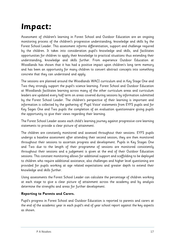## **Impact:**

Assessment of children's learning in Forest School and Outdoor Education are an ongoing monitoring process of the children's progressive understanding, knowledge and skills by the Forest School Leader. This assessment informs differentiation, support and challenge required by the children. It takes into consideration pupil's knowledge and skills, and facilitates opportunities for children to apply their knowledge to practical situations thus extending their understanding, knowledge and skills further. From experience Outdoor Education at Woodlands has shown that it has had a positive impact upon children's long term memory and has been an opportunity for many children to convert abstract concepts into something concrete that they can understand and apply.

The sessions are planned around the Woodlands WACI curriculum and in Key Stage One and Two they strongly support the pupil's science learning. Forest School and Outdoor Education at Woodlands facilitates learning across many of the other curriculum areas and curriculum leaders are updated every half term on areas covered during sessions by information submitted by the Forest School Leader. The children's perspective of their learning is important and information is collected by the gathering of 'Pupil Voice' statements from EYFS pupils and for Key Sages One and Two pupils the completion of an evaluation questionnaire giving pupils the opportunity to give their views regarding their learning.

The Forest School Leader assess each child's learning journey against progressive core learning statements to provide a clear picture of attainment.

The children are constantly monitored and assessed throughout their sessions. EYFS pupils undergo a baseline assessment after attending their second session; they are then monitored throughout their sessions to ascertain progress and development. Pupils in Key Stages One and Two due to the length of their programme of sessions are monitored consistently throughout their sessions and a judgement is given at the end of their Outdoor Education sessions. This constant monitoring allows for additional support and scaffolding to be deployed to children who require additional assistance, also challenges and higher level questioning are provided for pupils working at age related expectations and greater depth to extend their knowledge and skills further.

Using assessments the Forest School Leader can calculate the percentage of children working at each stage to give a clear picture of attainment across the academy and by analysis determine the strengths and areas for further development.

### **Reporting to Parents and Carers.**

Pupil's progress in Forest School and Outdoor Education is reported to parents and carers at the end of the academic year in each pupil's end of year school report against the key aspects as shown.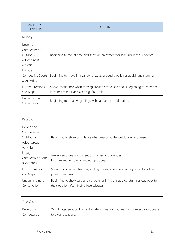| ASPECT OF<br><b>LEARNING</b> | <b>OBJECTIVES</b>                                                                |
|------------------------------|----------------------------------------------------------------------------------|
| Nursery                      |                                                                                  |
| Develop                      |                                                                                  |
| Competence in                |                                                                                  |
| Outdoor &                    | Beginning to feel at ease and show an enjoyment for learning in the outdoors.    |
| Adventurous                  |                                                                                  |
| Activities                   |                                                                                  |
| Engage in                    |                                                                                  |
| Competitive Sports           | Beginning to move in a variety of ways, gradually building up skill and stamina. |
| & Activities.                |                                                                                  |
| <b>Follow Directions</b>     | Shows confidence when moving around school site and is beginning to know the     |
| and Maps                     | locations of familiar places e.g. fire circle.                                   |
| Understanding of             |                                                                                  |
| Conservation                 | Beginning to treat living things with care and consideration.                    |

| Reception                                                             |                                                                                                                                 |
|-----------------------------------------------------------------------|---------------------------------------------------------------------------------------------------------------------------------|
| Developing<br>Competence in<br>Outdoor &<br>Adventurous<br>Activities | Beginning to show confidence when exploring the outdoor environment.                                                            |
| Engage in<br>Competitive Sports<br>& Activities.                      | Are adventurous and will set own physical challenges.<br>E.g. jumping in holes, climbing up slopes.                             |
| <b>Follow Directions</b><br>and Maps                                  | Shows confidence when negotiating the woodland and is beginning to notice<br>physical features.                                 |
| Understanding of<br>Conservation                                      | Beginning to show care and concern for living things e.g. returning logs back to<br>their position after finding invertebrates. |

| Year One      |                                                                                     |
|---------------|-------------------------------------------------------------------------------------|
| Developing    | With limited support knows the safety rules and routines, and can act appropriately |
| Competence in | to given situations.                                                                |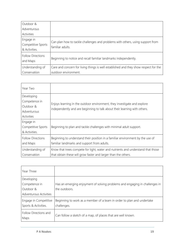| Outdoor &                            |                                                                                      |
|--------------------------------------|--------------------------------------------------------------------------------------|
| Adventurous                          |                                                                                      |
| Activities                           |                                                                                      |
| Engage in                            | Can plan how to tackle challenges and problems with others, using support from       |
| Competitive Sports                   | familiar adults.                                                                     |
| & Activities.                        |                                                                                      |
| <b>Follow Directions</b><br>and Maps | Beginning to notice and recall familiar landmarks independently.                     |
| Understanding of                     | Care and concern for living things is well established and they show respect for the |
| Conservation                         | outdoor environment.                                                                 |

| Year Two                 |                                                                                  |
|--------------------------|----------------------------------------------------------------------------------|
| Developing               |                                                                                  |
| Competence in            |                                                                                  |
| Outdoor &                | Enjoys learning in the outdoor environment, they investigate and explore         |
| Adventurous              | independently and are beginning to talk about their learning with others.        |
| Activities               |                                                                                  |
| Engage in                |                                                                                  |
| Competitive Sports       | Beginning to plan and tackle challenges with minimal adult support.              |
| & Activities.            |                                                                                  |
| <b>Follow Directions</b> | Beginning to understand their position in a familiar environment by the use of   |
| and Maps                 | familiar landmarks and support from adults.                                      |
| Understanding of         | Know that trees compete for light, water and nutrients and understand that those |
| Conservation             | that obtain these will grow faster and larger than the others.                   |

| Year Three                                    |                                                                                       |
|-----------------------------------------------|---------------------------------------------------------------------------------------|
| Developing                                    |                                                                                       |
| Competence in                                 | Has an emerging enjoyment of solving problems and engaging in challenges in           |
| Outdoor &                                     | the outdoors.                                                                         |
| Adventurous Activities                        |                                                                                       |
| Engage in Competitive<br>Sports & Activities. | Beginning to work as a member of a team in order to plan and undertake<br>challenges. |
| Follow Directions and<br>Maps                 | Can follow a sketch of a map, of places that are well known.                          |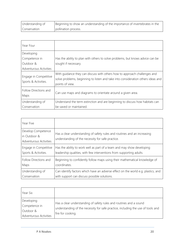| Understanding of | Beginning to show an understanding of the importance of invertebrates in the |
|------------------|------------------------------------------------------------------------------|
| Conservation     | pollination process.                                                         |

| Year Four                                                          |                                                                                                                                                                                  |
|--------------------------------------------------------------------|----------------------------------------------------------------------------------------------------------------------------------------------------------------------------------|
| Developing<br>Competence in<br>Outdoor &<br>Adventurous Activities | Has the ability to plan with others to solve problems, but knows advice can be<br>sought if necessary.                                                                           |
| Engage in Competitive<br>Sports & Activities.                      | With quidance they can discuss with others how to approach challenges and<br>solve problems, beginning to listen and take into consideration others ideas and<br>points of view. |
| Follow Directions and<br>Maps                                      | Can use maps and diagrams to orientate around a given area.                                                                                                                      |
| Understanding of<br>Conservation                                   | Understand the term extinction and are beginning to discuss how habitats can<br>be saved or maintained.                                                                          |

| Year Five                                                           |                                                                                                                               |
|---------------------------------------------------------------------|-------------------------------------------------------------------------------------------------------------------------------|
| Develop Competence<br>in Outdoor &<br><b>Adventurous Activities</b> | Has a clear understanding of safety rules and routines and an increasing<br>understanding of the necessity for safe practice. |
| Engage in Competitive                                               | Has the ability to work well as part of a team and may show developing                                                        |
| Sports & Activities.                                                | leadership qualities, with few interventions from supporting adults.                                                          |
| Follow Directions and                                               | Beginning to confidently follow maps using their mathematical knowledge of                                                    |
| Maps                                                                | coordinates.                                                                                                                  |
| Understanding of                                                    | Can identify factors which have an adverse effect on the world e.g. plastics, and                                             |
| Conservation                                                        | with support can discuss possible solutions.                                                                                  |

| Year Six                                 |                                                                                                                                                                             |
|------------------------------------------|-----------------------------------------------------------------------------------------------------------------------------------------------------------------------------|
| Developing<br>Competence in<br>Outdoor & | Has a clear understanding of safety rules and routines and a sound<br>understanding of the necessity for safe practice, including the use of tools and<br>fire for cooking. |
| Adventurous Activities                   |                                                                                                                                                                             |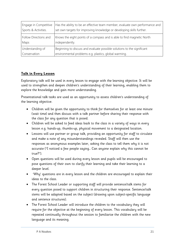| Engage in Competitive | Has the ability to be an effective team member, evaluate own performance and |
|-----------------------|------------------------------------------------------------------------------|
| Sports & Activities.  | set own targets for improving knowledge or developing skills further.        |
| Follow Directions and | Knows the eight points of a compass and is able to find magnetic North       |
| Maps                  | independently.                                                               |
| Understanding of      | Beginning to discuss and evaluate possible solutions to the significant      |
| Conservation          | environmental problems e.g. plastics, global warming.                        |

### **Talk in Every Lesson**

Exploratory talk will be used in every lesson to engage with the learning objective. It will be used to strengthen and deepen children's understanding of their learning, enabling them to explore the knowledge and gain more understanding.

Presentational talk tasks are used as an opportunity to assess children's understanding of the learning objective.

- Children will be given the opportunity to think for themselves for at least one minute (wait time) and then discuss with a talk partner before sharing their response with the class for any question that is posed.
- Children will be asked to feed ideas back to the class in a variety of ways in every lesson e.g. hands-up, thumbs-up, physical movement to a designated location.
- Lessons will use partner or group talk, providing an opportunity for staff to circulate and make a note of any misunderstandings revealed. Staff will then use the responses as anonymous examples later, asking the class to tell them why it is not accurate ("I noticed a few people saying… Can anyone explain why this cannot be true?").
- Open questions will be used during every lesson and pupils will be encouraged to pose questions of their own to clarify their learning and take their learning to a deeper level.
- 'Why' questions are in every lesson and the children are encouraged to explain their ideas to the class.
- The Forest School Leader or supporting staff will provide sentence/talk stems for every question posed to support children in structuring their response. Sentence/talk stems will be adapted based on the subject (drawing upon subject-specific language and sentence structures).
- The Forest School Leader will introduce the children to the vocabulary they will require for the objective at the beginning of every lesson. This vocabulary will be repeated continually throughout the session to familiarise the children with the new language and its meaning.